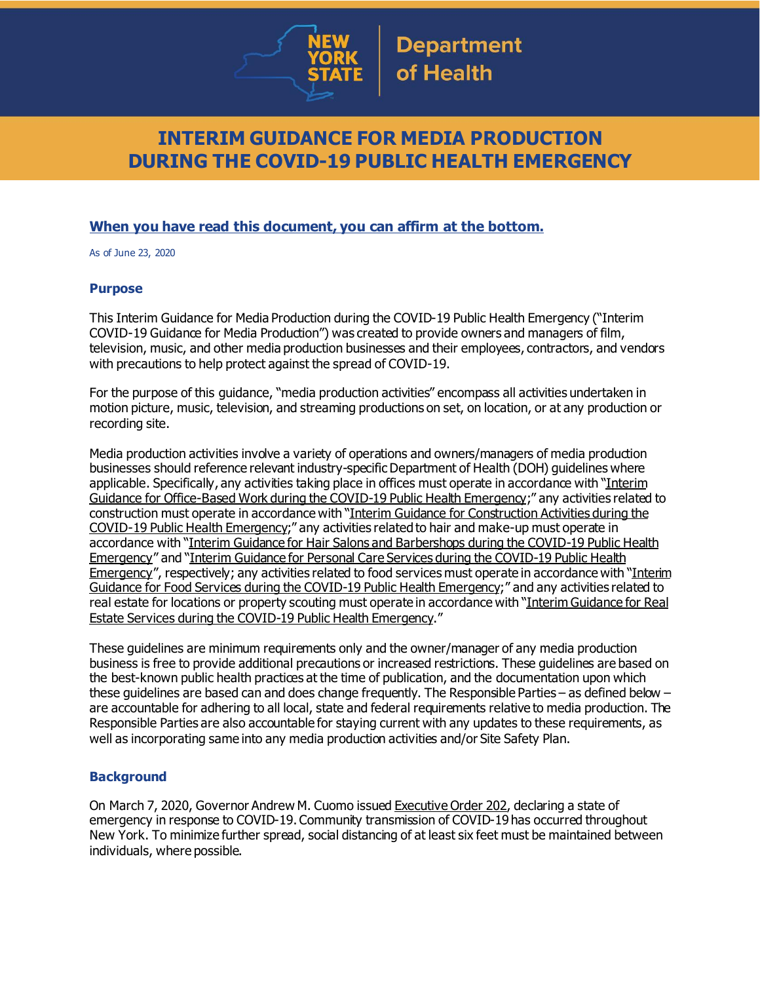

# **INTERIM GUIDANCE FOR MEDIA PRODUCTION DURING THE COVID-19 PUBLIC HEALTH EMERGENCY**

## **When you have read this document, you can affirm at the bottom.**

As of June 23, 2020

### **Purpose**

This Interim Guidance for Media Production during the COVID-19 Public Health Emergency ("Interim COVID-19 Guidance for Media Production") was created to provide owners and managers of film, television, music, and other media production businesses and their employees, contractors, and vendors with precautions to help protect against the spread of COVID-19.

For the purpose of this guidance, "media production activities" encompass all activities undertaken in motion picture, music, television, and streaming productions on set, on location, or at any production or recording site.

Media production activities involve a variety of operations and owners/managers of media production businesses should reference relevant industry-specific Department of Health (DOH) quidelines where applicable. Specifically, any activities taking place in offices must operate in accordance with "[Interim](https://www.governor.ny.gov/sites/governor.ny.gov/files/atoms/files/offices-interim-guidance.pdf) Guidance for [Office-Based](https://www.governor.ny.gov/sites/governor.ny.gov/files/atoms/files/offices-interim-guidance.pdf) Work during the COVID-19 Public Health Emergency;" any activities related to construction must operate in accordance with "Interim Guidance for [Construction](https://www.governor.ny.gov/sites/governor.ny.gov/files/atoms/files/ConstructionMasterGuidance.pdf) Activities during the COVID-19 Public Health [Emergency](https://www.governor.ny.gov/sites/governor.ny.gov/files/atoms/files/ConstructionMasterGuidance.pdf);" any activities related to hair and make-up must operate in accordance with "Interim Guidance for Hair Salons and [Barbershops](https://www.governor.ny.gov/sites/governor.ny.gov/files/atoms/files/HairSalonsAndBarbershopMasterGuidance.pdf) during the COVID-19 Public Health [Emergency](https://www.governor.ny.gov/sites/governor.ny.gov/files/atoms/files/HairSalonsAndBarbershopMasterGuidance.pdf)" and "Interim Guidance for Personal Care Services during the [COVID-19](https://www.governor.ny.gov/sites/governor.ny.gov/files/atoms/files/Personal_Care_Detailed_Guidelines.pdf) Public Health [Emergency](https://www.governor.ny.gov/sites/governor.ny.gov/files/atoms/files/Personal_Care_Detailed_Guidelines.pdf)", respectively; any activities related to food services must operate in accordance with "[Interim](https://www.governor.ny.gov/sites/governor.ny.gov/files/atoms/files/Indoor_and_Outdoor_Food_Services_Detailed_Guidelines.pdf) Guidance for Food Services during the COVID-19 Public Health [Emergency;](https://www.governor.ny.gov/sites/governor.ny.gov/files/atoms/files/Indoor_and_Outdoor_Food_Services_Detailed_Guidelines.pdf)" and any activities related to real estate for locations or property scouting must operate in accordance with "Interim [Guidance](https://www.governor.ny.gov/sites/governor.ny.gov/files/atoms/files/realestate-masterguidance.pdf) for Real Estate Services during the COVID-19 Public Health [Emergency](https://www.governor.ny.gov/sites/governor.ny.gov/files/atoms/files/realestate-masterguidance.pdf)."

These guidelines are minimum requirements only and the owner/manager of any media production business is free to provide additional precautions or increased restrictions. These guidelines are based on the best-known public health practices at the time of publication, and the documentation upon which these guidelines are based can and does change frequently. The Responsible Parties – as defined below – are accountable for adhering to all local, state and federal requirements relative to media production. The Responsible Parties are also accountable for staying current with any updates to these requirements, as well as incorporating same into any media production activities and/or Site Safety Plan.

## **Background**

On March 7, 2020, Governor Andrew M. Cuomo issued [Executive](https://www.governor.ny.gov/news/no-202-declaring-disaster-emergency-state-new-york) Order 202, declaring a state of emergency in response to COVID-19. Community transmission of COVID-19 has occurred throughout New York. To minimize further spread, social distancing of at least six feet must be maintained between individuals, where possible.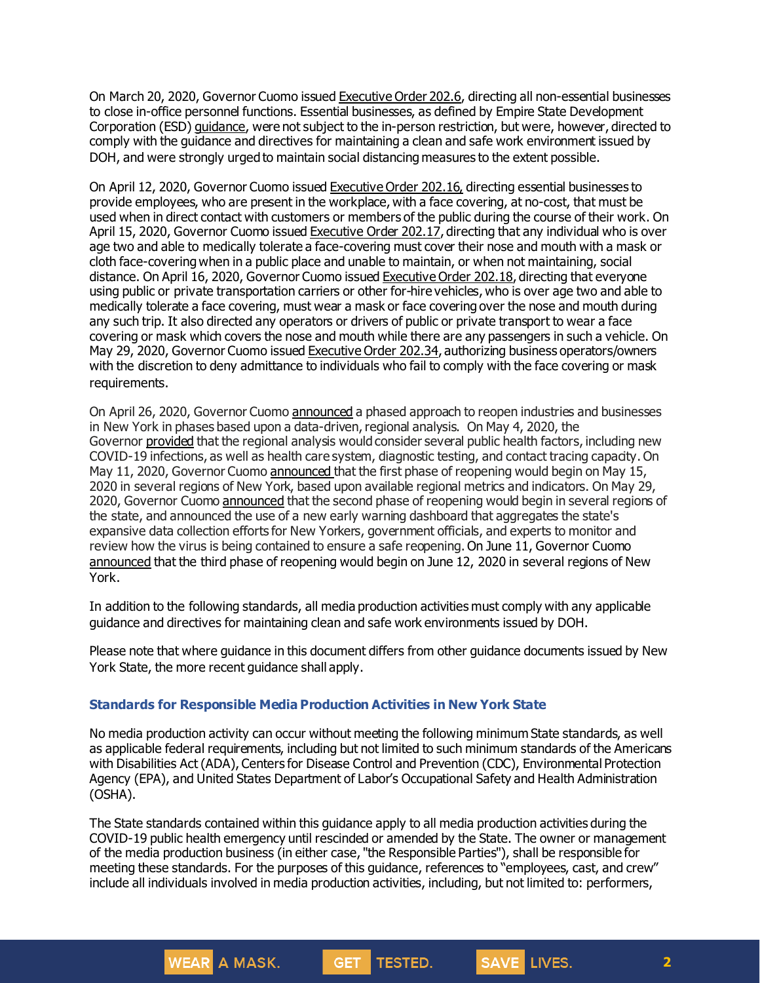On March 20, 2020, Governor Cuomo issued [Executive](https://www.governor.ny.gov/news/no-2026-continuing-temporary-suspension-and-modification-laws-relating-disaster-emergency) Order 202.6, directing all non-essential businesses to close in-office personnel functions. Essential businesses, as defined by Empire State Development Corporation (ESD) [guidance](https://esd.ny.gov/guidance-executive-order-2026), were not subject to the in-person restriction, but were, however, directed to comply with the guidance and directives for maintaining a clean and safe work environment issued by DOH, and were strongly urged to maintain social distancing measures to the extent possible.

On April 12, 2020, Governor Cuomo issued [Executive](https://www.governor.ny.gov/news/no-20216-continuing-temporary-suspension-and-modification-laws-relating-disaster-emergency) Order 202.16, directing essential businesses to provide employees, who are present in the workplace, with a face covering, at no-cost, that must be used when in direct contact with customers or members of the public during the course of their work. On April 15, 2020, Governor Cuomo issued [Executive](https://www.governor.ny.gov/news/no-20217-continuing-temporary-suspension-and-modification-laws-relating-disaster-emergency) Order 202.17, directing that any individual who is over age two and able to medically tolerate a face-covering must cover their nose and mouth with a mask or cloth face-coveringwhen in a public place and unable to maintain, or when not maintaining, social distance. On April 16, 2020, Governor Cuomo issued [Executive](https://www.governor.ny.gov/news/no-20218-continuing-temporary-suspension-and-modification-laws-relating-disaster-emergency) Order 202.18, directing that everyone using public or private transportation carriers or other for-hire vehicles, who is over age two and able to medically tolerate a face covering, must wear a mask or face covering over the nose and mouth during any such trip. It also directed any operators or drivers of public or private transport to wear a face covering or mask which covers the nose and mouth while there are any passengers in such a vehicle. On May 29, 2020, Governor Cuomo issued [Executive](https://www.governor.ny.gov/news/no-20234-continuing-temporary-suspension-and-modification-laws-relating-disaster-emergency) Order 202.34, authorizing business operators/owners with the discretion to deny admittance to individuals who fail to comply with the face covering or mask requirements.

On April 26, 2020, Governor Cuomo [announced](https://www.governor.ny.gov/news/amid-ongoing-covid-19-pandemic-governor-cuomo-outlines-phased-plan-re-open-new-york-starting) a phased approach to reopen industries and businesses in New York in phases based upon a data-driven, regional analysis. On May 4, 2020, the Governor [provided](https://www.governor.ny.gov/news/amid-ongoing-covid-19-pandemic-governor-cuomo-outlines-additional-guidelines-when-regions-can) that the regional analysis would consider several public health factors, including new COVID-19 infections, as well as health care system, diagnostic testing, and contact tracing capacity. On May 11, 2020, Governor Cuomo [announced](https://www.governor.ny.gov/news/amid-ongoing-covid-19-pandemic-governor-cuomo-announces-three-regions-new-york-state-ready) that the first phase of reopening would begin on May 15, 2020 in several regions of New York, based upon available regional metrics and indicators. On May 29, 2020, Governor Cuomo [announced](https://www.governor.ny.gov/news/governor-cuomo-announces-new-york-city-enter-phase-1-reopening-june-8-and-five-regions-enter) that the second phase of reopening would begin in several regions of the state, and announced the use of a new early warning dashboard that aggregates the state's expansive data collection efforts for New Yorkers, government officials, and experts to monitor and review how the virus is being contained to ensure a safe reopening. On June 11, Governor Cuomo [announced](https://www.governor.ny.gov/news/governor-cuomo-announces-five-regions-will-enter-phase-three-reopening-tomorrow) that the third phase of reopening would begin on June 12, 2020 in several regions of New York.

In addition to the following standards, all media production activities must comply with any applicable guidance and directives for maintaining clean and safe work environments issued by DOH.

Please note that where guidance in this document differs from other guidance documents issued by New York State, the more recent guidance shall apply.

## **Standards for Responsible Media Production Activities in New York State**

**WEAR** A MASK.

No media production activity can occur without meeting the following minimum State standards, as well as applicable federal requirements, including but not limited to such minimum standards of the Americans with Disabilities Act (ADA), Centers for Disease Control and Prevention (CDC), Environmental Protection Agency (EPA), and United States Department of Labor's Occupational Safety and Health Administration (OSHA).

The State standards contained within this guidance apply to all media production activities during the COVID-19 public health emergency until rescinded or amended by the State. The owner or management of the media production business (in either case, "the Responsible Parties"), shall be responsible for meeting these standards. For the purposes of this guidance, references to "employees, cast, and crew" include all individuals involved in media production activities, including, but not limited to: performers,

**TESTED.** 

GET.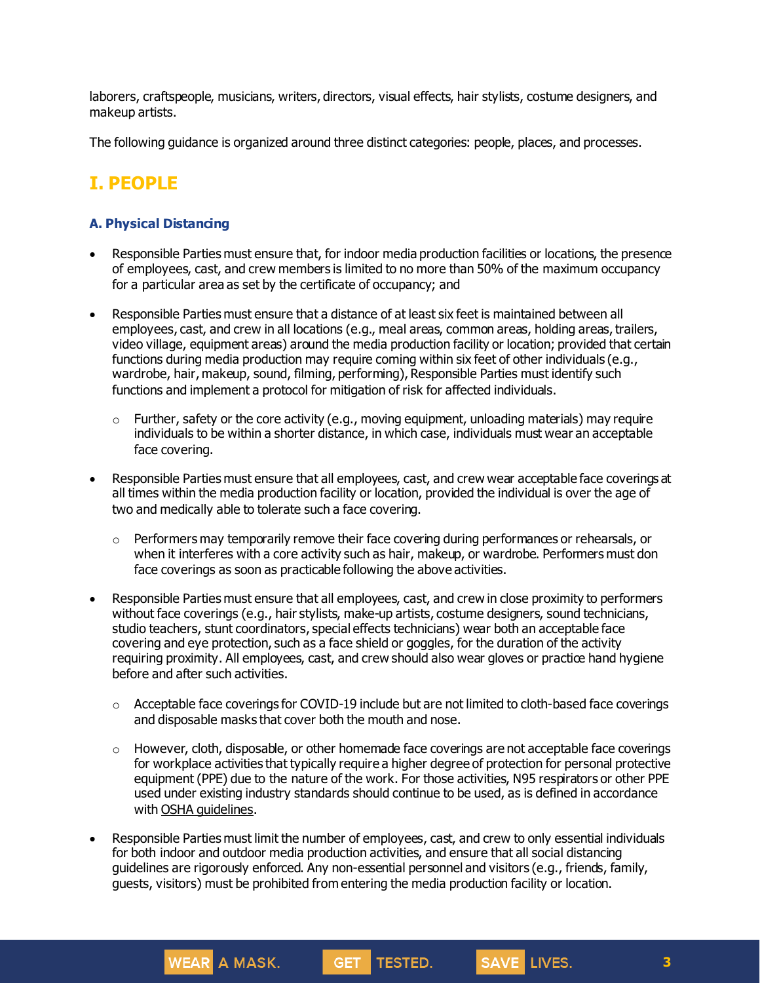laborers, craftspeople, musicians, writers, directors, visual effects, hair stylists, costume designers, and makeup artists.

The following guidance is organized around three distinct categories: people, places, and processes.

# **I. PEOPLE**

## **A. Physical Distancing**

- Responsible Parties must ensure that, for indoor media production facilities or locations, the presence of employees, cast, and crew members is limited to no more than 50% of the maximum occupancy for a particular area as set by the certificate of occupancy; and
- Responsible Parties must ensure that a distance of at least six feet is maintained between all employees, cast, and crew in all locations (e.g., meal areas, common areas, holding areas, trailers, video village, equipment areas) around the media production facility or location; provided that certain functions during media production may require coming within six feet of other individuals (e.g., wardrobe, hair, makeup, sound, filming, performing), Responsible Parties must identify such functions and implement a protocol for mitigation of risk for affected individuals.
	- $\circ$  Further, safety or the core activity (e.g., moving equipment, unloading materials) may require individuals to be within a shorter distance, in which case, individuals must wear an acceptable face covering.
- Responsible Parties must ensure that all employees, cast, and crew wear acceptable face coverings at all times within the media production facility or location, provided the individual is over the age of two and medically able to tolerate such a face covering.
	- o Performers may temporarily remove their face covering during performances or rehearsals, or when it interferes with a core activity such as hair, makeup, or wardrobe. Performers must don face coverings as soon as practicable following the above activities.
- Responsible Parties must ensure that all employees, cast, and crew in close proximity to performers without face coverings (e.g., hair stylists, make-up artists, costume designers, sound technicians, studio teachers, stunt coordinators, special effects technicians) wear both an acceptable face covering and eye protection, such as a face shield or goggles, for the duration of the activity requiring proximity. All employees, cast, and crew should also wear gloves or practice hand hygiene before and after such activities.
	- $\circ$  Acceptable face coverings for COVID-19 include but are not limited to cloth-based face coverings and disposable masks that cover both the mouth and nose.
	- $\circ$  However, cloth, disposable, or other homemade face coverings are not acceptable face coverings for workplace activities that typically require a higher degree of protection for personal protective equipment (PPE) due to the nature of the work. For those activities, N95 respirators or other PPE used under existing industry standards should continue to be used, as is defined in accordance with OSHA [guidelines.](https://www.osha.gov/SLTC/personalprotectiveequipment/)
- Responsible Parties must limit the number of employees, cast, and crew to only essential individuals for both indoor and outdoor media production activities, and ensure that all social distancing guidelines are rigorously enforced. Any non-essential personnel and visitors (e.g., friends, family, guests, visitors) must be prohibited from entering the media production facility or location.

TESTED.

**GET** 

**WEAR** A MASK.

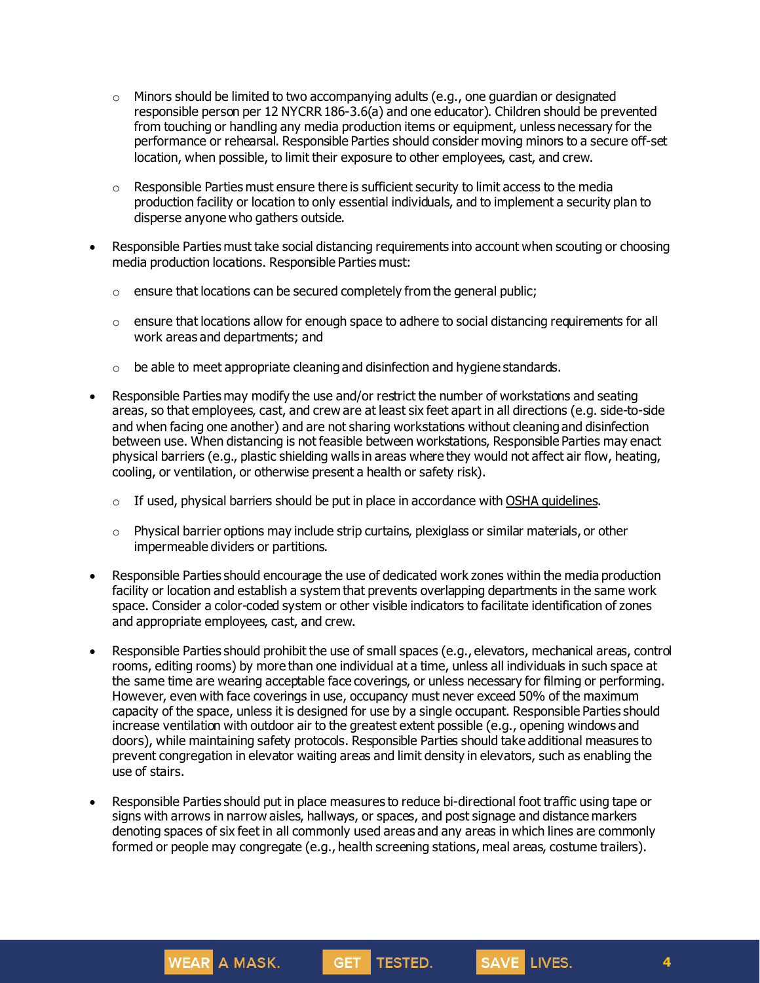- $\circ$  Minors should be limited to two accompanying adults (e.g., one quardian or designated responsible person per 12 NYCRR 186-3.6(a) and one educator). Children should be prevented from touching or handling any media production items or equipment, unless necessary for the performance or rehearsal. Responsible Parties should consider moving minors to a secure off-set location, when possible, to limit their exposure to other employees, cast, and crew.
- $\circ$  Responsible Parties must ensure there is sufficient security to limit access to the media production facility or location to only essential individuals, and to implement a security plan to disperse anyone who gathers outside.
- Responsible Parties must take social distancing requirements into account when scouting or choosing media production locations. Responsible Parties must:
	- $\circ$  ensure that locations can be secured completely from the general public;
	- o ensure that locations allow for enough space to adhere to social distancing requirements for all work areas and departments; and
	- $\circ$  be able to meet appropriate cleaning and disinfection and hygiene standards.
- Responsible Parties may modify the use and/or restrict the number of workstations and seating areas, so that employees, cast, and crew are at least six feet apart in all directions (e.g. side-to-side and when facing one another) and are not sharing workstations without cleaning and disinfection between use. When distancing is not feasible between workstations, Responsible Parties may enact physical barriers (e.g., plastic shielding walls in areas where they would not affect air flow, heating, cooling, or ventilation, or otherwise present a health or safety risk).
	- o If used, physical barriers should be put in place in accordance with OSHA [guidelines](https://www.osha.gov/Publications/OSHA3990.pdf).
	- $\circ$  Physical barrier options may include strip curtains, plexiglass or similar materials, or other impermeable dividers or partitions.
- Responsible Parties should encourage the use of dedicated work zones within the media production facility or location and establish a system that prevents overlapping departments in the same work space. Consider a color-coded system or other visible indicators to facilitate identification of zones and appropriate employees, cast, and crew.
- Responsible Parties should prohibit the use of small spaces (e.g., elevators, mechanical areas, control rooms, editing rooms) by more than one individual at a time, unless all individuals in such space at the same time are wearing acceptable face coverings, or unless necessary for filming or performing. However, even with face coverings in use, occupancy must never exceed 50% of the maximum capacity of the space, unless it is designed for use by a single occupant. Responsible Parties should increase ventilation with outdoor air to the greatest extent possible (e.g., opening windows and doors), while maintaining safety protocols. Responsible Parties should take additional measures to prevent congregation in elevator waiting areas and limit density in elevators, such as enabling the use of stairs.
- Responsible Parties should put in place measures to reduce bi-directional foot traffic using tape or signs with arrows in narrow aisles, hallways, or spaces, and post signage and distance markers denoting spaces of six feet in all commonly used areas and any areas in which lines are commonly formed or people may congregate (e.g., health screening stations, meal areas, costume trailers).



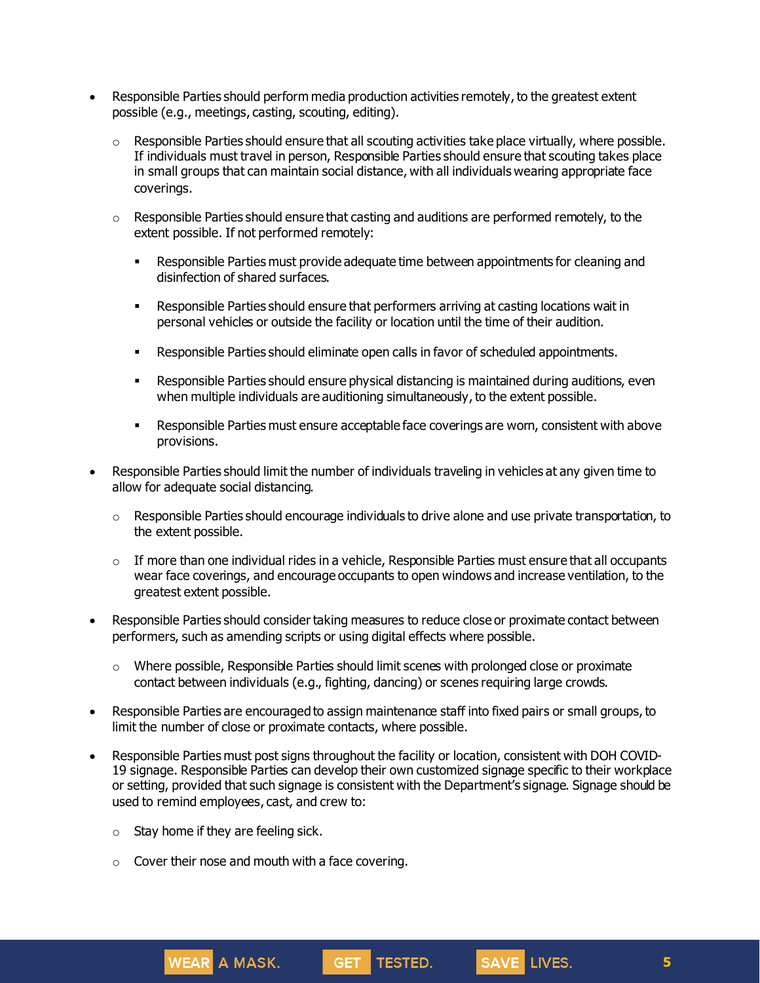- Responsible Parties should perform media production activities remotely, to the greatest extent possible (e.g., meetings, casting, scouting, editing).
	- $\circ$  Responsible Parties should ensure that all scouting activities take place virtually, where possible. If individuals must travel in person, Responsible Parties should ensure that scouting takes place in small groups that can maintain social distance, with all individuals wearing appropriate face coverings.
	- $\circ$  Responsible Parties should ensure that casting and auditions are performed remotely, to the extent possible. If not performed remotely:
		- **EXECT** Responsible Parties must provide adequate time between appointments for cleaning and disinfection of shared surfaces.
		- **EXECTS** Responsible Parties should ensure that performers arriving at casting locations wait in personal vehicles or outside the facility or location until the time of their audition.
		- Responsible Parties should eliminate open calls in favor of scheduled appointments.
		- **EXECTS ARES** Responsible Parties should ensure physical distancing is maintained during auditions, even when multiple individuals are auditioning simultaneously, to the extent possible.
		- Responsible Parties must ensure acceptable face coverings are worn, consistent with above provisions.
- Responsible Parties should limit the number of individuals traveling in vehicles at any given time to allow for adequate social distancing.
	- $\circ$  Responsible Parties should encourage individuals to drive alone and use private transportation, to the extent possible.
	- $\circ$  If more than one individual rides in a vehicle, Responsible Parties must ensure that all occupants wear face coverings, and encourage occupants to open windows and increase ventilation, to the greatest extent possible.
- Responsible Parties should consider taking measures to reduce close or proximate contact between performers, such as amending scripts or using digital effects where possible.
	- $\circ$  Where possible, Responsible Parties should limit scenes with prolonged close or proximate contact between individuals (e.g., fighting, dancing) or scenes requiring large crowds.
- Responsible Parties are encouraged to assign maintenance staff into fixed pairs or small groups, to limit the number of close or proximate contacts, where possible.
- Responsible Parties must post signs throughout the facility or location, consistent with DOH COVID-19 signage. Responsible Parties can develop their own customized signage specific to their workplace or setting, provided that such signage is consistent with the Department's signage. Signage should be used to remind employees, cast, and crew to:

GET TESTED.

 $\circ$  Stay home if they are feeling sick.

**WEAR** A MASK.

 $\circ$  Cover their nose and mouth with a face covering.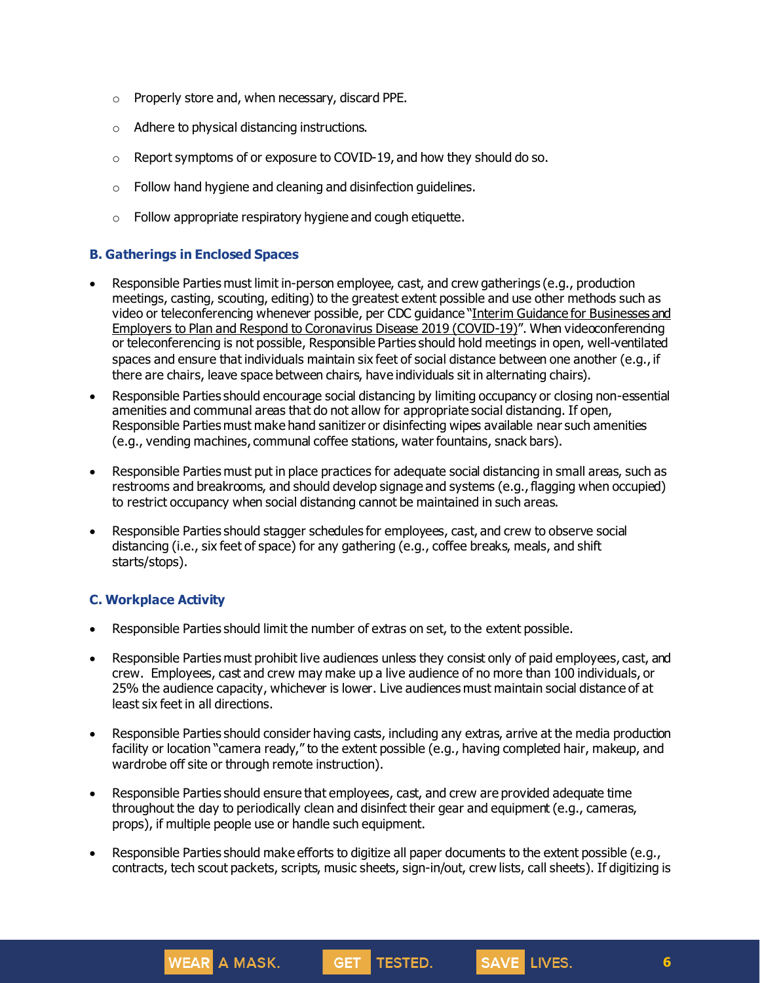- o Properly store and, when necessary, discard PPE.
- o Adhere to physical distancing instructions.
- o Report symptoms of or exposure to COVID-19, and how they should do so.
- $\circ$  Follow hand hygiene and cleaning and disinfection guidelines.
- $\circ$  Follow appropriate respiratory hygiene and cough etiquette.

## **B. Gatherings in Enclosed Spaces**

- Responsible Parties must limit in-person employee, cast, and crew gatherings (e.g., production meetings, casting, scouting, editing) to the greatest extent possible and use other methods such as video or teleconferencing whenever possible, per CDC guidance "Interim Guidance for [Businesses](https://www.cdc.gov/coronavirus/2019-ncov/community/guidance-business-response.html) and Employers to Plan and Respond to [Coronavirus](https://www.cdc.gov/coronavirus/2019-ncov/community/guidance-business-response.html) Disease 2019 (COVID-19)". When videoconferencing or teleconferencing is not possible, Responsible Parties should hold meetings in open, well-ventilated spaces and ensure that individuals maintain six feet of social distance between one another (e.g., if there are chairs, leave space between chairs, have individuals sit in alternating chairs).
- Responsible Parties should encourage social distancing by limiting occupancy or closing non-essential amenities and communal areas that do not allow for appropriate social distancing. If open, Responsible Parties must make hand sanitizer or disinfecting wipes available near such amenities (e.g., vending machines, communal coffee stations, water fountains, snack bars).
- Responsible Parties must put in place practices for adequate social distancing in small areas, such as restrooms and breakrooms, and should develop signage and systems (e.g., flagging when occupied) to restrict occupancy when social distancing cannot be maintained in such areas.
- Responsible Parties should stagger schedules for employees, cast, and crew to observe social distancing (i.e., six feet of space) for any gathering (e.g., coffee breaks, meals, and shift starts/stops).

## **C. Workplace Activity**

**WEAR** A MASK.

- Responsible Parties should limit the number of extras on set, to the extent possible.
- Responsible Parties must prohibit live audiences unless they consist only of paid employees, cast, and crew. Employees, cast and crew may make up a live audience of no more than 100 individuals, or 25% the audience capacity, whichever is lower. Live audiences must maintain social distance of at least six feet in all directions.
- Responsible Parties should consider having casts, including any extras, arrive at the media production facility or location "camera ready," to the extent possible (e.g., having completed hair, makeup, and wardrobe off site or through remote instruction).
- Responsible Parties should ensure that employees, cast, and crew are provided adequate time throughout the day to periodically clean and disinfect their gear and equipment (e.g., cameras, props), if multiple people use or handle such equipment.

**GET** 

• Responsible Parties should make efforts to digitize all paper documents to the extent possible (e.g., contracts, tech scout packets, scripts, music sheets, sign-in/out, crew lists, call sheets). If digitizing is

TESTED.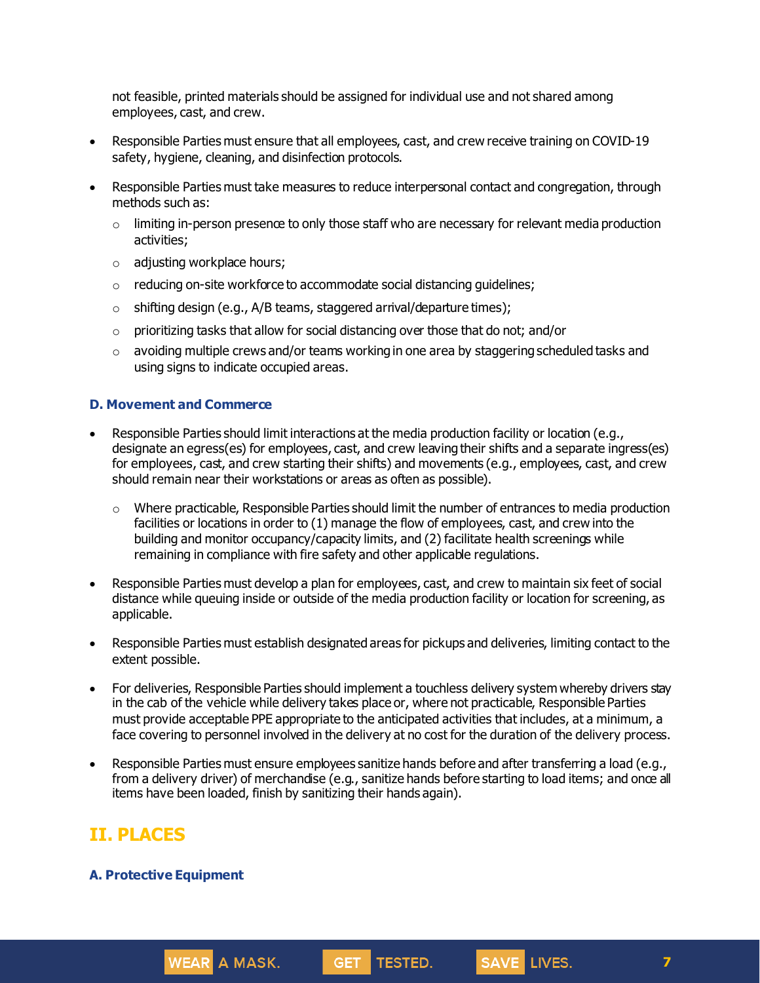not feasible, printed materials should be assigned for individual use and not shared among employees, cast, and crew.

- Responsible Parties must ensure that all employees, cast, and crew receive training on COVID-19 safety, hygiene, cleaning, and disinfection protocols.
- Responsible Parties must take measures to reduce interpersonal contact and congregation, through methods such as:
	- $\circ$  limiting in-person presence to only those staff who are necessary for relevant media production activities;
	- o adjusting workplace hours;
	- o reducing on-site workforce to accommodate social distancing guidelines;
	- o shifting design (e.g., A/B teams, staggered arrival/departure times);
	- $\circ$  prioritizing tasks that allow for social distancing over those that do not; and/or
	- $\circ$  avoiding multiple crews and/or teams working in one area by staggering scheduled tasks and using signs to indicate occupied areas.

### **D. Movement and Commerce**

- Responsible Parties should limit interactions at the media production facility or location (e.g., designate an egress(es) for employees, cast, and crew leaving their shifts and a separate ingress(es) for employees, cast, and crew starting their shifts) and movements (e.g., employees, cast, and crew should remain near their workstations or areas as often as possible).
	- $\circ$  Where practicable, Responsible Parties should limit the number of entrances to media production facilities or locations in order to (1) manage the flow of employees, cast, and crew into the building and monitor occupancy/capacity limits, and (2) facilitate health screenings while remaining in compliance with fire safety and other applicable regulations.
- Responsible Parties must develop a plan for employees, cast, and crew to maintain six feet of social distance while queuing inside or outside of the media production facility or location for screening, as applicable.
- Responsible Parties must establish designated areas for pickups and deliveries, limiting contact to the extent possible.
- For deliveries, Responsible Parties should implement a touchless delivery system whereby drivers stay in the cab of the vehicle while delivery takes place or, where not practicable, Responsible Parties must provide acceptable PPE appropriate to the anticipated activities that includes, at a minimum, a face covering to personnel involved in the delivery at no cost for the duration of the delivery process.
- Responsible Parties must ensure employees sanitize hands before and after transferring a load (e.g., from a delivery driver) of merchandise (e.g., sanitize hands before starting to load items; and once all items have been loaded, finish by sanitizing their hands again).

GET TESTED.

# **II. PLACES**

#### **A. Protective Equipment**

**WEAR** A MASK.

**7**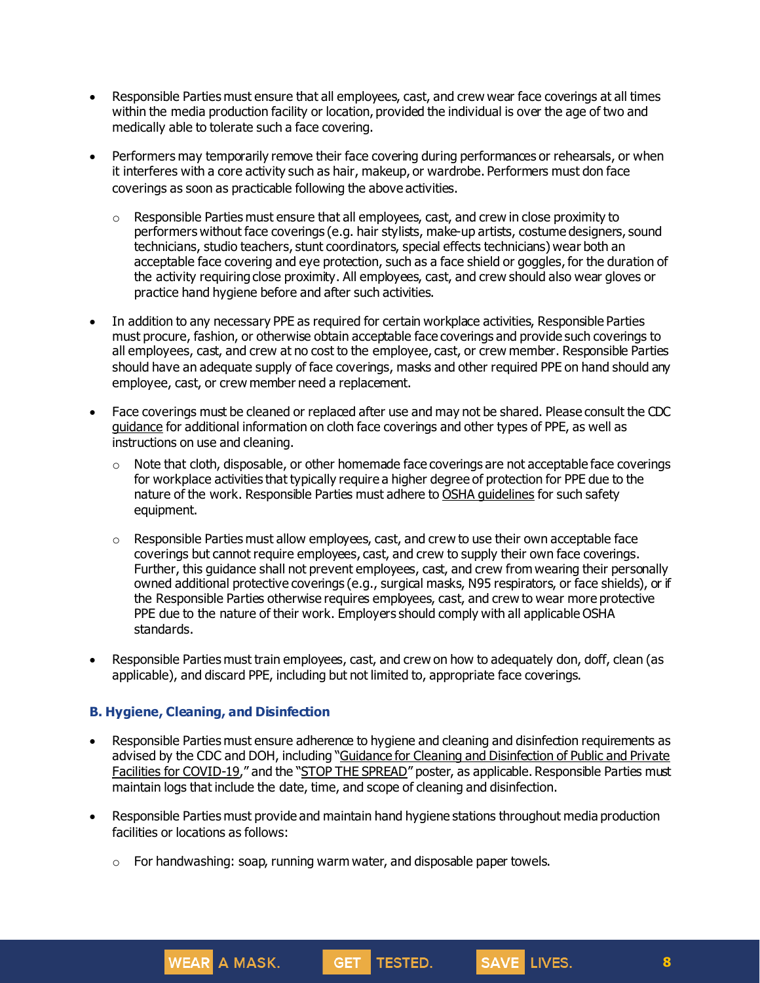- Responsible Parties must ensure that all employees, cast, and crew wear face coverings at all times within the media production facility or location, provided the individual is over the age of two and medically able to tolerate such a face covering.
- Performers may temporarily remove their face covering during performances or rehearsals, or when it interferes with a core activity such as hair, makeup, or wardrobe. Performers must don face coverings as soon as practicable following the above activities.
	- $\circ$  Responsible Parties must ensure that all employees, cast, and crew in close proximity to performers without face coverings (e.g. hair stylists, make-up artists, costume designers, sound technicians, studio teachers, stunt coordinators, special effects technicians) wear both an acceptable face covering and eye protection, such as a face shield or goggles, for the duration of the activity requiring close proximity. All employees, cast, and crew should also wear gloves or practice hand hygiene before and after such activities.
- In addition to any necessary PPE as required for certain workplace activities, Responsible Parties must procure, fashion, or otherwise obtain acceptable face coverings and provide such coverings to all employees, cast, and crew at no cost to the employee, cast, or crew member. Responsible Parties should have an adequate supply of face coverings, masks and other required PPE on hand should any employee, cast, or crew member need a replacement.
- Face coverings must be cleaned or replaced after use and may not be shared. Please consult the CDC [guidance](https://www.cdc.gov/coronavirus/2019-ncov/community/guidance-business-response.html) for additional information on cloth face coverings and other types of PPE, as well as instructions on use and cleaning.
	- $\circ$  Note that cloth, disposable, or other homemade face coverings are not acceptable face coverings for workplace activities that typically require a higher degree of protection for PPE due to the nature of the work. Responsible Parties must adhere to OSHA [guidelines](https://www.osha.gov/SLTC/personalprotectiveequipment/) for such safety equipment.
	- o Responsible Parties must allow employees, cast, and crew to use their own acceptable face coverings but cannot require employees, cast, and crew to supply their own face coverings. Further, this guidance shall not prevent employees, cast, and crew from wearing their personally owned additional protective coverings (e.g., surgical masks, N95 respirators, or face shields), or if the Responsible Parties otherwise requires employees, cast, and crew to wear more protective PPE due to the nature of their work. Employers should comply with all applicable OSHA standards.
- Responsible Parties must train employees, cast, and crew on how to adequately don, doff, clean (as applicable), and discard PPE, including but not limited to, appropriate face coverings.

## **B. Hygiene, Cleaning, and Disinfection**

**WEAR** A MASK.

- Responsible Parties must ensure adherence to hygiene and cleaning and disinfection requirements as advised by the CDC and DOH, including "Guidance for Cleaning and [Disinfection](https://coronavirus.health.ny.gov/system/files/documents/2020/03/cleaning_guidance_general_building.pdf) of Public and Private Facilities for [COVID-19](https://coronavirus.health.ny.gov/system/files/documents/2020/03/cleaning_guidance_general_building.pdf)," and the "STOP THE [SPREAD](https://coronavirus.health.ny.gov/system/files/documents/2020/04/13067_coronavirus_protectyourself_poster_042020.pdf)" poster, as applicable. Responsible Parties must maintain logs that include the date, time, and scope of cleaning and disinfection.
- Responsible Parties must provide and maintain hand hygiene stations throughout media production facilities or locations as follows:
	- o For handwashing: soap, running warm water, and disposable paper towels.

GET<sub>1</sub>

**TESTED.** 

**8**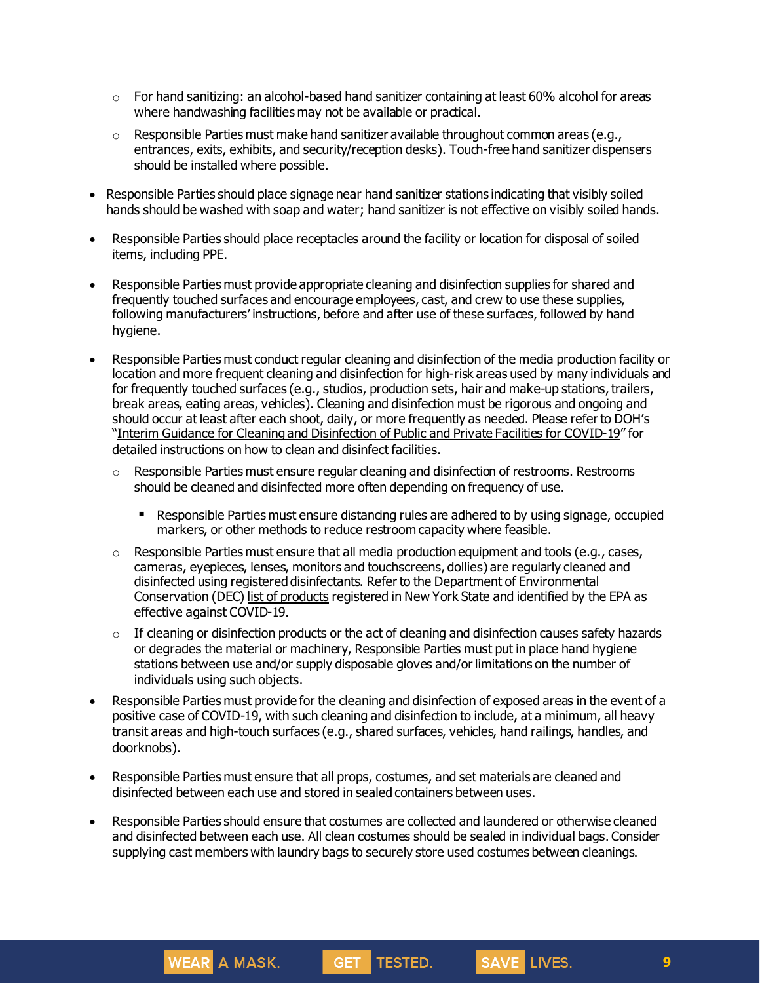- $\circ$  For hand sanitizing: an alcohol-based hand sanitizer containing at least 60% alcohol for areas where handwashing facilities may not be available or practical.
- $\circ$  Responsible Parties must make hand sanitizer available throughout common areas (e.g., entrances, exits, exhibits, and security/reception desks). Touch-free hand sanitizer dispensers should be installed where possible.
- Responsible Parties should place signage near hand sanitizer stations indicating that visibly soiled hands should be washed with soap and water; hand sanitizer is not effective on visibly soiled hands.
- Responsible Parties should place receptacles around the facility or location for disposal of soiled items, including PPE.
- Responsible Parties must provide appropriate cleaning and disinfection supplies for shared and frequently touched surfaces and encourage employees, cast, and crew to use these supplies, following manufacturers' instructions, before and after use of these surfaces, followed by hand hygiene.
- Responsible Parties must conduct regular cleaning and disinfection of the media production facility or location and more frequent cleaning and disinfection for high-risk areas used by many individuals and for frequently touched surfaces (e.g., studios, production sets, hair and make-up stations, trailers, break areas, eating areas, vehicles). Cleaning and disinfection must be rigorous and ongoing and should occur at least after each shoot, daily, or more frequently as needed. Please refer to DOH's "Interim Guidance for Cleaning and [Disinfection](https://coronavirus.health.ny.gov/system/files/documents/2020/03/cleaning_guidance_general_building.pdf) of Public and Private Facilities for COVID-19" for detailed instructions on how to clean and disinfect facilities.
	- $\circ$  Responsible Parties must ensure regular cleaning and disinfection of restrooms. Restrooms should be cleaned and disinfected more often depending on frequency of use.
		- Responsible Parties must ensure distancing rules are adhered to by using signage, occupied markers, or other methods to reduce restroom capacity where feasible.
	- $\circ$  Responsible Parties must ensure that all media production equipment and tools (e.g., cases, cameras, eyepieces, lenses, monitors and touchscreens, dollies) are regularly cleaned and disinfected using registered disinfectants. Refer to the Department of Environmental Conservation (DEC) list of [products](http://www.dec.ny.gov/docs/materials_minerals_pdf/covid19.pdf) registered in New York State and identified by the EPA as effective against COVID-19.
	- $\circ$  If cleaning or disinfection products or the act of cleaning and disinfection causes safety hazards or degrades the material or machinery, Responsible Parties must put in place hand hygiene stations between use and/or supply disposable gloves and/or limitations on the number of individuals using such objects.
- Responsible Parties must provide for the cleaning and disinfection of exposed areas in the event of a positive case of COVID-19, with such cleaning and disinfection to include, at a minimum, all heavy transit areas and high-touch surfaces (e.g., shared surfaces, vehicles, hand railings, handles, and doorknobs).
- Responsible Parties must ensure that all props, costumes, and set materials are cleaned and disinfected between each use and stored in sealed containers between uses.
- Responsible Parties should ensure that costumes are collected and laundered or otherwise cleaned and disinfected between each use. All clean costumes should be sealed in individual bags. Consider supplying cast members with laundry bags to securely store used costumes between cleanings.



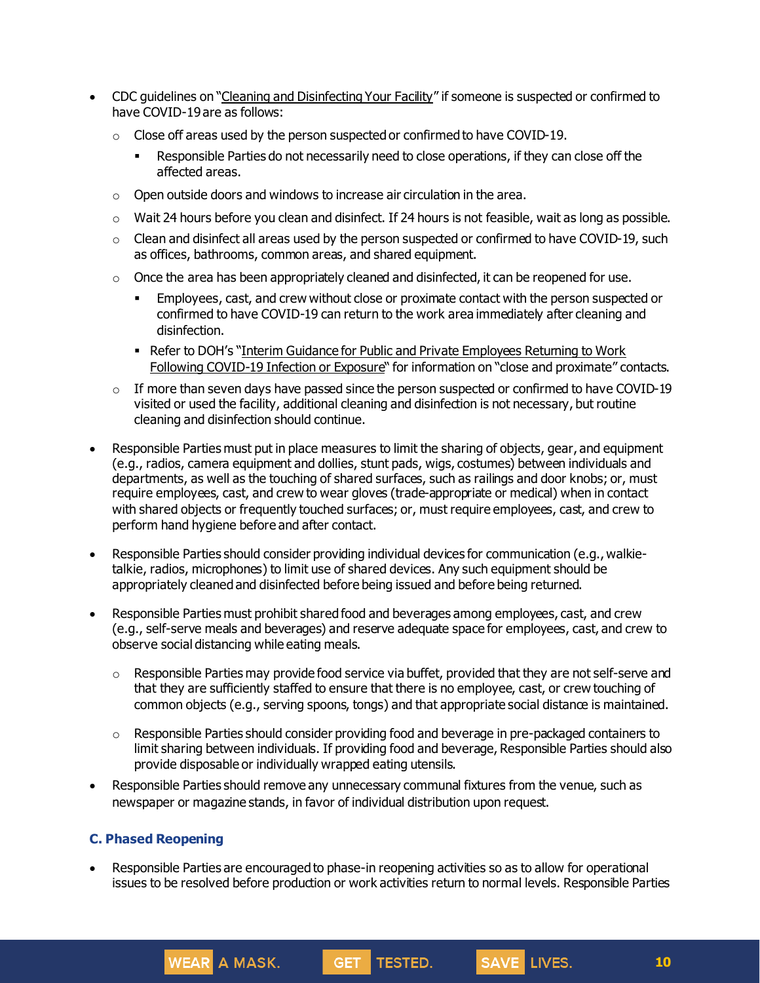- CDC guidelines on "Cleaning and [Disinfecting](https://www.cdc.gov/coronavirus/2019-ncov/community/disinfecting-building-facility.html) Your Facility" if someone is suspected or confirmed to have COVID-19 are as follows:
	- o Close off areas used by the person suspected or confirmed to have COVID-19.
		- **EXECT** Responsible Parties do not necessarily need to close operations, if they can close off the affected areas.
	- o Open outside doors and windows to increase air circulation in the area.
	- $\circ$  Wait 24 hours before you clean and disinfect. If 24 hours is not feasible, wait as long as possible.
	- $\circ$  Clean and disinfect all areas used by the person suspected or confirmed to have COVID-19, such as offices, bathrooms, common areas, and shared equipment.
	- $\circ$  Once the area has been appropriately cleaned and disinfected, it can be reopened for use.
		- **Employees, cast, and crew without close or proximate contact with the person suspected or** confirmed to have COVID-19 can return to the work area immediately after cleaning and disinfection.
		- **Refer to DOH's "Interim Guidance for Public and Private [Employees](https://coronavirus.health.ny.gov/system/files/documents/2020/06/doh_covid19_publicprivateemployeereturntowork_053120.pdf) Returning to Work** Following [COVID-19](https://coronavirus.health.ny.gov/system/files/documents/2020/06/doh_covid19_publicprivateemployeereturntowork_053120.pdf) Infection or Exposure" for information on "close and proximate" contacts.
	- $\circ$  If more than seven days have passed since the person suspected or confirmed to have COVID-19 visited or used the facility, additional cleaning and disinfection is not necessary, but routine cleaning and disinfection should continue.
- Responsible Parties must put in place measures to limit the sharing of objects, gear, and equipment (e.g., radios, camera equipment and dollies, stunt pads, wigs, costumes) between individuals and departments, as well as the touching of shared surfaces, such as railings and door knobs; or, must require employees, cast, and crew to wear gloves (trade-appropriate or medical) when in contact with shared objects or frequently touched surfaces; or, must require employees, cast, and crew to perform hand hygiene before and after contact.
- Responsible Parties should consider providing individual devices for communication (e.g., walkietalkie, radios, microphones) to limit use of shared devices. Any such equipment should be appropriately cleaned and disinfected before being issued and before being returned.
- Responsible Parties must prohibit shared food and beverages among employees, cast, and crew (e.g., self-serve meals and beverages) and reserve adequate space for employees, cast, and crew to observe social distancing while eating meals.
	- $\circ$  Responsible Parties may provide food service via buffet, provided that they are not self-serve and that they are sufficiently staffed to ensure that there is no employee, cast, or crew touching of common objects (e.g., serving spoons, tongs) and that appropriate social distance is maintained.
	- $\circ$  Responsible Parties should consider providing food and beverage in pre-packaged containers to limit sharing between individuals. If providing food and beverage, Responsible Parties should also provide disposable or individually wrapped eating utensils.
- Responsible Parties should remove any unnecessary communal fixtures from the venue, such as newspaper or magazine stands, in favor of individual distribution upon request.

## **C. Phased Reopening**

**WEAR** A MASK.

• Responsible Parties are encouraged to phase-in reopening activities so as to allow for operational issues to be resolved before production or work activities return to normal levels. Responsible Parties

GET TESTED.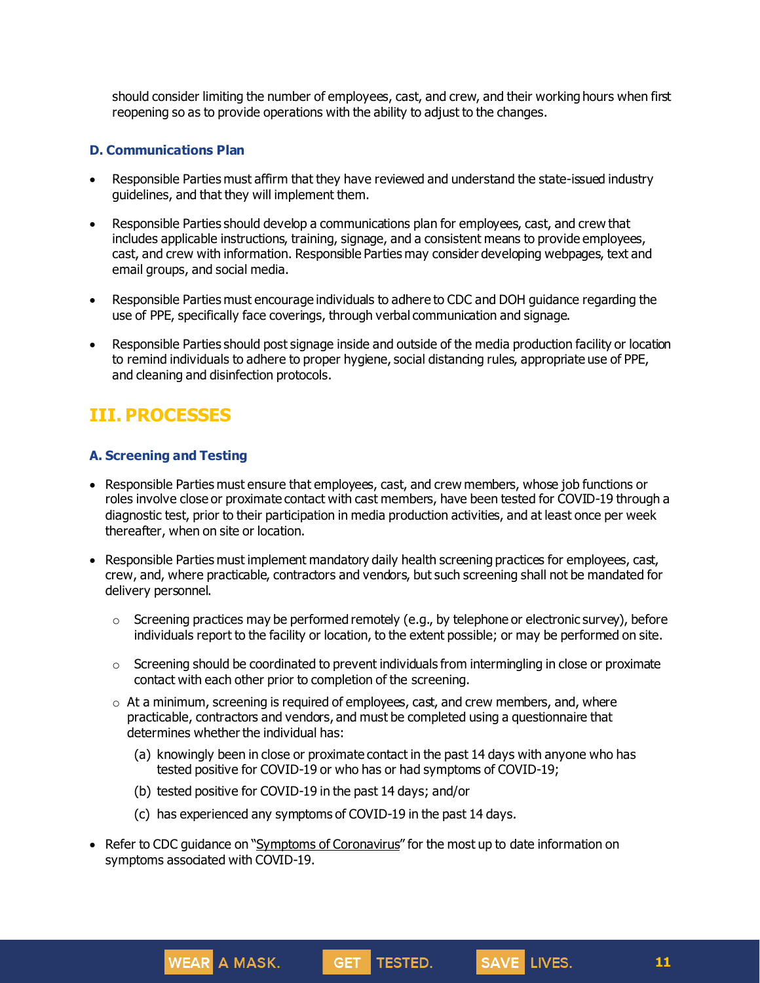should consider limiting the number of employees, cast, and crew, and their working hours when first reopening so as to provide operations with the ability to adjust to the changes.

### **D. Communications Plan**

- Responsible Parties must affirm that they have reviewed and understand the state-issued industry guidelines, and that they will implement them.
- Responsible Parties should develop a communications plan for employees, cast, and crew that includes applicable instructions, training, signage, and a consistent means to provide employees, cast, and crew with information. Responsible Parties may consider developing webpages, text and email groups, and social media.
- Responsible Parties must encourage individuals to adhere to CDC and DOH guidance regarding the use of PPE, specifically face coverings, through verbal communication and signage.
- Responsible Parties should post signage inside and outside of the media production facility or location to remind individuals to adhere to proper hygiene, social distancing rules, appropriate use of PPE, and cleaning and disinfection protocols.

# **III. PROCESSES**

## **A. Screening and Testing**

- Responsible Parties must ensure that employees, cast, and crew members, whose job functions or roles involve close or proximate contact with cast members, have been tested for COVID-19 through a diagnostic test, prior to their participation in media production activities, and at least once per week thereafter, when on site or location.
- Responsible Parties must implement mandatory daily health screening practices for employees, cast, crew, and, where practicable, contractors and vendors, but such screening shall not be mandated for delivery personnel.
	- $\circ$  Screening practices may be performed remotely (e.g., by telephone or electronic survey), before individuals report to the facility or location, to the extent possible; or may be performed on site.
	- $\circ$  Screening should be coordinated to prevent individuals from intermingling in close or proximate contact with each other prior to completion of the screening.
	- $\circ$  At a minimum, screening is required of employees, cast, and crew members, and, where practicable, contractors and vendors, and must be completed using a questionnaire that determines whether the individual has:
		- (a) knowingly been in close or proximate contact in the past 14 days with anyone who has tested positive for COVID-19 or who has or had symptoms of COVID-19;
		- (b) tested positive for COVID-19 in the past 14 days; and/or
		- (c) has experienced any symptoms of COVID-19 in the past 14 days.
- Refer to CDC quidance on "Symptoms of [Coronavirus](https://www.cdc.gov/coronavirus/2019-ncov/symptoms-testing/symptoms.html)" for the most up to date information on symptoms associated with COVID-19.

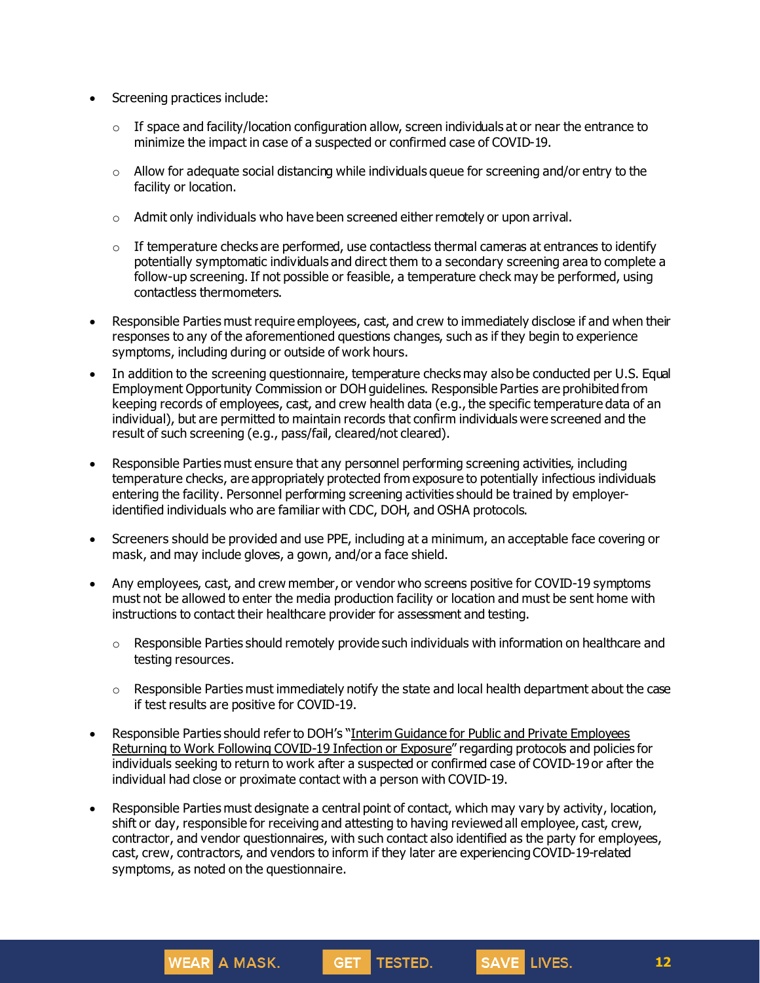- Screening practices include:
	- $\circ$  If space and facility/location configuration allow, screen individuals at or near the entrance to minimize the impact in case of a suspected or confirmed case of COVID-19.
	- $\circ$  Allow for adequate social distancing while individuals queue for screening and/or entry to the facility or location.
	- $\circ$  Admit only individuals who have been screened either remotely or upon arrival.
	- $\circ$  If temperature checks are performed, use contactless thermal cameras at entrances to identify potentially symptomatic individuals and direct them to a secondary screening area to complete a follow-up screening. If not possible or feasible, a temperature check may be performed, using contactless thermometers.
- Responsible Parties must require employees, cast, and crew to immediately disclose if and when their responses to any of the aforementioned questions changes, such as if they begin to experience symptoms, including during or outside of work hours.
- In addition to the screening questionnaire, temperature checks may also be conducted per U.S. Equal Employment Opportunity Commission or DOH guidelines. Responsible Parties are prohibited from keeping records of employees, cast, and crew health data (e.g., the specific temperature data of an individual), but are permitted to maintain records that confirm individuals were screened and the result of such screening (e.g., pass/fail, cleared/not cleared).
- Responsible Parties must ensure that any personnel performing screening activities, including temperature checks, are appropriately protected from exposure to potentially infectious individuals entering the facility. Personnel performing screening activities should be trained by employeridentified individuals who are familiar with CDC, DOH, and OSHA protocols.
- Screeners should be provided and use PPE, including at a minimum, an acceptable face covering or mask, and may include gloves, a gown, and/or a face shield.
- Any employees, cast, and crew member, or vendor who screens positive for COVID-19 symptoms must not be allowed to enter the media production facility or location and must be sent home with instructions to contact their healthcare provider for assessment and testing.
	- $\circ$  Responsible Parties should remotely provide such individuals with information on healthcare and testing resources.
	- o Responsible Parties must immediately notify the state and local health department about the case if test results are positive for COVID-19.
- Responsible Parties should refer to DOH's "Interim Guidance for Public and Private [Employees](https://coronavirus.health.ny.gov/system/files/documents/2020/06/doh_covid19_publicprivateemployeereturntowork_053120.pdf) Returning to Work Following [COVID-19](https://coronavirus.health.ny.gov/system/files/documents/2020/06/doh_covid19_publicprivateemployeereturntowork_053120.pdf) Infection or Exposure" regarding protocols and policies for individuals seeking to return to work after a suspected or confirmed case of COVID-19 or after the individual had close or proximate contact with a person with COVID-19.
- Responsible Parties must designate a central point of contact, which may vary by activity, location, shift or day, responsible for receiving and attesting to having reviewed all employee, cast, crew, contractor, and vendor questionnaires, with such contact also identified as the party for employees, cast, crew, contractors, and vendors to inform if they later are experiencing COVID-19-related symptoms, as noted on the questionnaire.

GET TESTED.

**WEAR** A MASK.

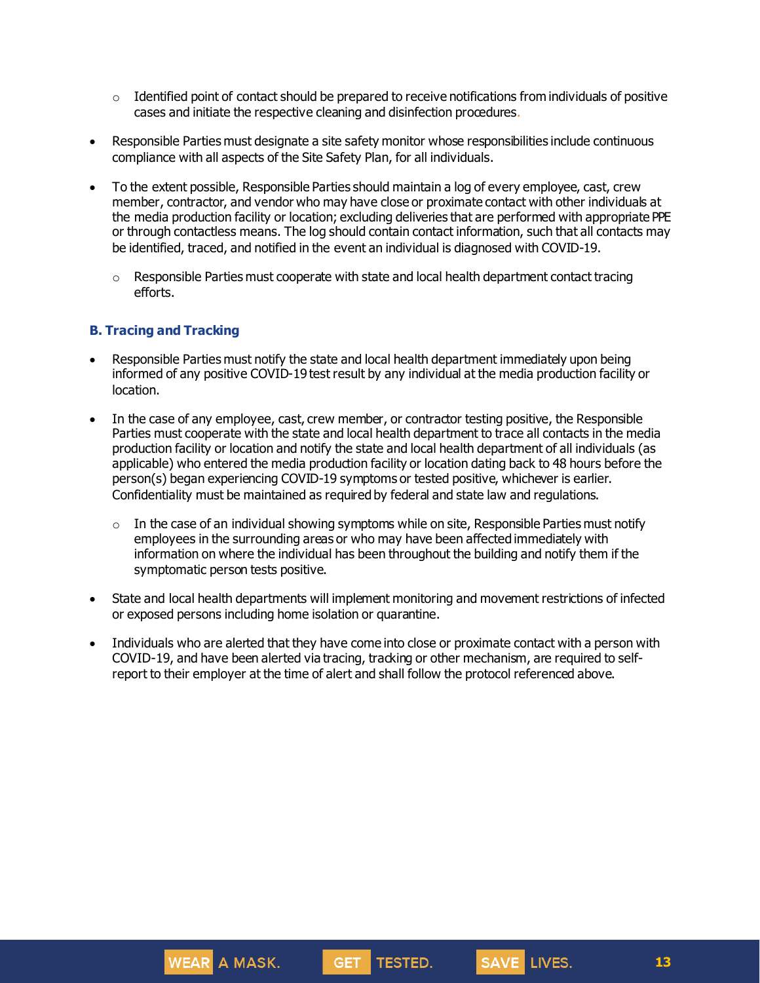- $\circ$  Identified point of contact should be prepared to receive notifications from individuals of positive cases and initiate the respective cleaning and disinfection procedures.
- Responsible Parties must designate a site safety monitor whose responsibilities include continuous compliance with all aspects of the Site Safety Plan, for all individuals.
- To the extent possible, Responsible Parties should maintain a log of every employee, cast, crew member, contractor, and vendor who may have close or proximate contact with other individuals at the media production facility or location; excluding deliveries that are performed with appropriate PPE or through contactless means. The log should contain contact information, such that all contacts may be identified, traced, and notified in the event an individual is diagnosed with COVID-19.
	- $\circ$  Responsible Parties must cooperate with state and local health department contact tracing efforts.

### **B. Tracing and Tracking**

- Responsible Parties must notify the state and local health department immediately upon being informed of any positive COVID-19 test result by any individual at the media production facility or location.
- In the case of any employee, cast, crew member, or contractor testing positive, the Responsible Parties must cooperate with the state and local health department to trace all contacts in the media production facility or location and notify the state and local health department of all individuals (as applicable) who entered the media production facility or location dating back to 48 hours before the person(s) began experiencing COVID-19 symptoms or tested positive, whichever is earlier. Confidentiality must be maintained as required by federal and state law and regulations.
	- $\circ$  In the case of an individual showing symptoms while on site, Responsible Parties must notify employees in the surrounding areas or who may have been affected immediately with information on where the individual has been throughout the building and notify them if the symptomatic person tests positive.
- State and local health departments will implement monitoring and movement restrictions of infected or exposed persons including home isolation or quarantine.
- Individuals who are alerted that they have come into close or proximate contact with a person with COVID-19, and have been alerted via tracing, tracking or other mechanism, are required to selfreport to their employer at the time of alert and shall follow the protocol referenced above.



**WEAR A MASK.**